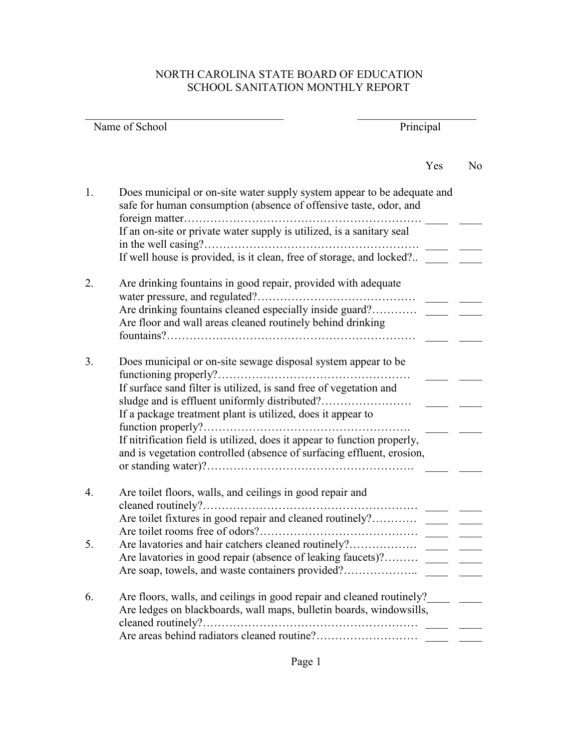## NORTH CAROLINA STATE BOARD OF EDUCATION SCHOOL SANITATION MONTHLY REPORT

| Name of School |                                                                                                                                                   | Principal |                |
|----------------|---------------------------------------------------------------------------------------------------------------------------------------------------|-----------|----------------|
|                |                                                                                                                                                   | Yes       | N <sub>0</sub> |
| 1.             | Does municipal or on-site water supply system appear to be adequate and<br>safe for human consumption (absence of offensive taste, odor, and      |           |                |
|                | If an on-site or private water supply is utilized, is a sanitary seal<br>in the well casing?                                                      |           |                |
|                | If well house is provided, is it clean, free of storage, and locked?                                                                              |           |                |
| 2.             | Are drinking fountains in good repair, provided with adequate                                                                                     |           |                |
|                | Are drinking fountains cleaned especially inside guard?                                                                                           |           |                |
|                | Are floor and wall areas cleaned routinely behind drinking                                                                                        |           |                |
| 3.             | Does municipal or on-site sewage disposal system appear to be<br>functioning properly?                                                            |           |                |
|                | If surface sand filter is utilized, is sand free of vegetation and                                                                                |           |                |
|                | If a package treatment plant is utilized, does it appear to                                                                                       |           |                |
|                | If nitrification field is utilized, does it appear to function properly,<br>and is vegetation controlled (absence of surfacing effluent, erosion, |           |                |
| 4.             | Are toilet floors, walls, and ceilings in good repair and<br>cleaned routinely?                                                                   |           |                |
|                | Are toilet fixtures in good repair and cleaned routinely?<br>Are toilet rooms free of odors?                                                      |           |                |
| 5.             |                                                                                                                                                   |           |                |
|                | Are lavatories in good repair (absence of leaking faucets)?                                                                                       |           |                |
| 6.             | Are floors, walls, and ceilings in good repair and cleaned routinely?<br>Are ledges on blackboards, wall maps, bulletin boards, windowsills,      |           |                |
|                |                                                                                                                                                   |           |                |